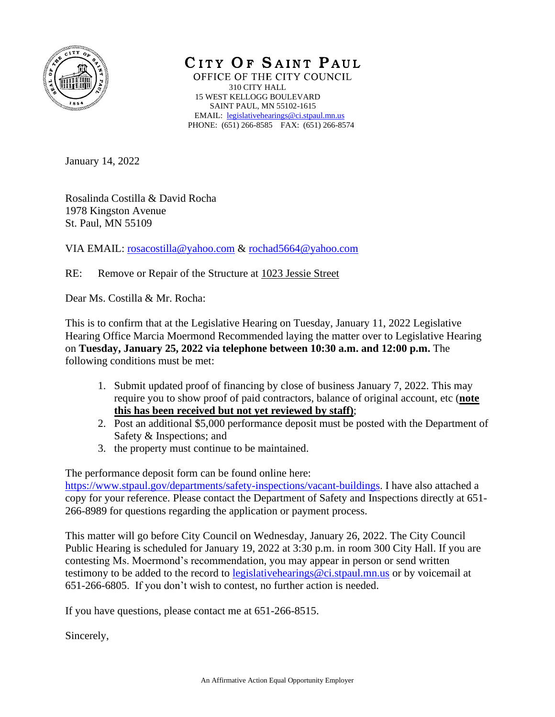

CITY OF SAINT PAUL OFFICE OF THE CITY COUNCIL 310 CITY HALL 15 WEST KELLOGG BOULEVARD SAINT PAUL, MN 55102-1615 EMAIL: [legislativehearings@ci.stpaul.mn.us](mailto:legislativehearings@ci.stpaul.mn.us) PHONE: (651) 266-8585 FAX: (651) 266-8574

January 14, 2022

Rosalinda Costilla & David Rocha 1978 Kingston Avenue St. Paul, MN 55109

VIA EMAIL: [rosacostilla@yahoo.com](mailto:rosacostilla@yahoo.com) & [rochad5664@yahoo.com](mailto:rochad5664@yahoo.com)

RE: Remove or Repair of the Structure at 1023 Jessie Street

Dear Ms. Costilla & Mr. Rocha:

This is to confirm that at the Legislative Hearing on Tuesday, January 11, 2022 Legislative Hearing Office Marcia Moermond Recommended laying the matter over to Legislative Hearing on **Tuesday, January 25, 2022 via telephone between 10:30 a.m. and 12:00 p.m.** The following conditions must be met:

- 1. Submit updated proof of financing by close of business January 7, 2022. This may require you to show proof of paid contractors, balance of original account, etc (**note this has been received but not yet reviewed by staff)**;
- 2. Post an additional \$5,000 performance deposit must be posted with the Department of Safety & Inspections; and
- 3. the property must continue to be maintained.

The performance deposit form can be found online here: [https://www.stpaul.gov/departments/safety-inspections/vacant-buildings.](https://www.stpaul.gov/departments/safety-inspections/vacant-buildings) I have also attached a copy for your reference. Please contact the Department of Safety and Inspections directly at 651-

266-8989 for questions regarding the application or payment process. This matter will go before City Council on Wednesday, January 26, 2022. The City Council Public Hearing is scheduled for January 19, 2022 at 3:30 p.m. in room 300 City Hall. If you are

contesting Ms. Moermond's recommendation, you may appear in person or send written testimony to be added to the record to legislative hearings@ci.stpaul.mn.us or by voicemail at 651-266-6805. If you don't wish to contest, no further action is needed.

If you have questions, please contact me at 651-266-8515.

Sincerely,